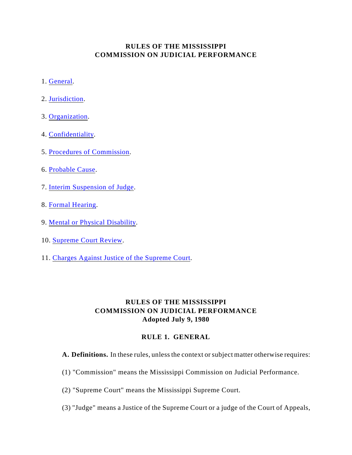# **RULES OF THE MISSISSIPPI COMMISSION ON JUDICIAL PERFORMANCE**

- 1. [General](#page-0-0).
- 2. [Jurisdiction](#page-1-0).
- 3. [Organization](#page-2-0).
- 4. [Confidentiality](#page-4-0).
- 5. [Procedures of Commission](#page-5-0).
- 6. [Probable Cause](#page-6-0).
- 7. [Interim Suspension of Judge](#page-8-0).
- 8. [Formal Hearing](#page-8-1).
- 9. [Mental or Physical Disability](#page-11-0).
- 10. [Supreme Court Review.](#page-11-1)
- 11. [Charges Against Justice of the Supreme Court](#page-12-0).

# **RULES OF THE MISSISSIPPI COMMISSION ON JUDICIAL PERFORMANCE Adopted July 9, 1980**

## <span id="page-0-0"></span>**RULE 1. GENERAL**

**A. Definitions.** In these rules, unless the context or subject matter otherwise requires:

- (1) "Commission" means the Mississippi Commission on Judicial Performance.
- (2) "Supreme Court" means the Mississippi Supreme Court.
- (3) "Judge" means a Justice of the Supreme Court or a judge of the Court of Appeals,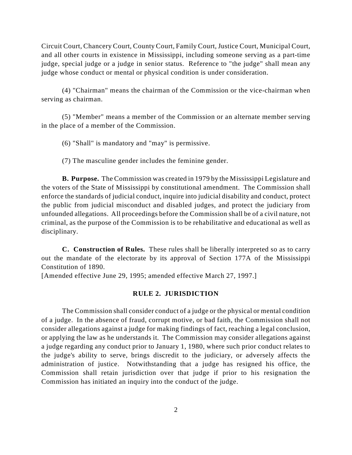and all other courts in existence in Mississippi, including someone serving as a part-time Circuit Court, Chancery Court, County Court, Family Court, Justice Court, Municipal Court, judge, special judge or a judge in senior status. Reference to "the judge" shall mean any judge whose conduct or mental or physical condition is under consideration.

(4) "Chairman" means the chairman of the Commission or the vice-chairman when serving as chairman.

(5) "Member" means a member of the Commission or an alternate member serving in the place of a member of the Commission.

(6) "Shall" is mandatory and "may" is permissive.

(7) The masculine gender includes the feminine gender.

 enforce the standards of judicial conduct, inquire into judicial disability and conduct, protect **B. Purpose.** The Commission was created in 1979 by the Mississippi Legislature and the voters of the State of Mississippi by constitutional amendment. The Commission shall the public from judicial misconduct and disabled judges, and protect the judiciary from unfounded allegations. All proceedings before the Commission shall be of a civil nature, not criminal, as the purpose of the Commission is to be rehabilitative and educational as well as disciplinary.

**C. Construction of Rules.** These rules shall be liberally interpreted so as to carry out the mandate of the electorate by its approval of Section 177A of the Mississippi Constitution of 1890.

[Amended effective June 29, 1995; amended effective March 27, 1997.]

## <span id="page-1-0"></span>**RULE 2. JURISDICTION**

 of a judge. In the absence of fraud, corrupt motive, or bad faith, the Commission shall not or applying the law as he understands it. The Commission may consider allegations against a judge regarding any conduct prior to January 1, 1980, where such prior conduct relates to The Commission shall consider conduct of a judge or the physical or mental condition consider allegations against a judge for making findings of fact, reaching a legal conclusion, the judge's ability to serve, brings discredit to the judiciary, or adversely affects the administration of justice. Notwithstanding that a judge has resigned his office, the Commission shall retain jurisdiction over that judge if prior to his resignation the Commission has initiated an inquiry into the conduct of the judge.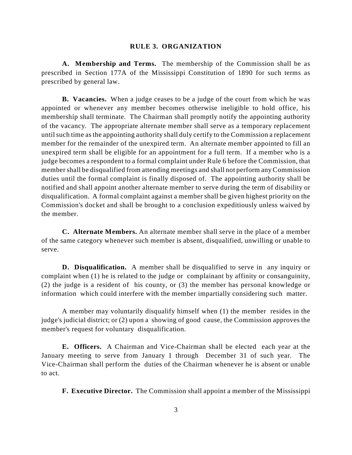#### <span id="page-2-0"></span>**RULE 3. ORGANIZATION**

 **A. Membership and Terms.** The membership of the Commission shall be as prescribed in Section 177A of the Mississippi Constitution of 1890 for such terms as prescribed by general law.

 **B. Vacancies.** When a judge ceases to be a judge of the court from which he was membership shall terminate. The Chairman shall promptly notify the appointing authority notified and shall appoint another alternate member to serve during the term of disability or appointed or whenever any member becomes otherwise ineligible to hold office, his of the vacancy. The appropriate alternate member shall serve as a temporary replacement until such time as the appointing authority shall duly certify to the Commission a replacement member for the remainder of the unexpired term. An alternate member appointed to fill an unexpired term shall be eligible for an appointment for a full term. If a member who is a judge becomes a respondent to a formal complaint under Rule 6 before the Commission, that member shall be disqualified from attending meetings and shall not perform any Commission duties until the formal complaint is finally disposed of. The appointing authority shall be disqualification. A formal complaint against a member shall be given highest priority on the Commission's docket and shall be brought to a conclusion expeditiously unless waived by the member.

 **C. Alternate Members.** An alternate member shall serve in the place of a member of the same category whenever such member is absent, disqualified, unwilling or unable to serve.

**D. Disqualification.** A member shall be disqualified to serve in any inquiry or complaint when (1) he is related to the judge or complainant by affinity or consanguinity, (2) the judge is a resident of his county, or (3) the member has personal knowledge or information which could interfere with the member impartially considering such matter.

 judge's judicial district; or (2) upon a showing of good cause, the Commission approves the A member may voluntarily disqualify himself when (1) the member resides in the member's request for voluntary disqualification.

**E. Officers.** A Chairman and Vice-Chairman shall be elected each year at the January meeting to serve from January 1 through December 31 of such year. The Vice-Chairman shall perform the duties of the Chairman whenever he is absent or unable to act.

 **F. Executive Director.** The Commission shall appoint a member of the Mississippi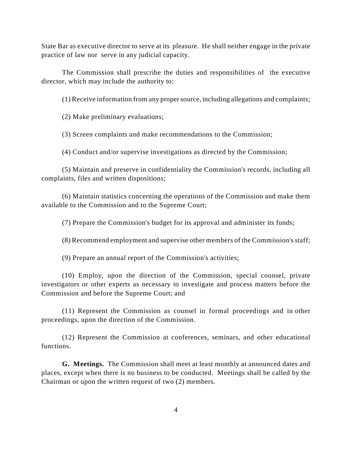State Bar as executive director to serve at its pleasure. He shall neither engage in the private practice of law nor serve in any judicial capacity.

The Commission shall prescribe the duties and responsibilities of the executive director, which may include the authority to:

(1) Receive information from any proper source, including allegations and complaints;

(2) Make preliminary evaluations;

(3) Screen complaints and make recommendations to the Commission;

(4) Conduct and/or supervise investigations as directed by the Commission;

 (5) Maintain and preserve in confidentiality the Commission's records, including all complaints, files and written dispositions;

(6) Maintain statistics concerning the operations of the Commission and make them available to the Commission and to the Supreme Court;

(7) Prepare the Commission's budget for its approval and administer its funds;

(8) Recommend employment and supervise other members of the Commission's staff;

(9) Prepare an annual report of the Commission's activities;

(10) Employ, upon the direction of the Commission, special counsel, private investigators or other experts as necessary to investigate and process matters before the Commission and before the Supreme Court; and

(11) Represent the Commission as counsel in formal proceedings and in other proceedings, upon the direction of the Commission.

 (12) Represent the Commission at conferences, seminars, and other educational functions.

**G. Meetings.** The Commission shall meet at least monthly at announced dates and places, except when there is no business to be conducted. Meetings shall be called by the Chairman or upon the written request of two (2) members.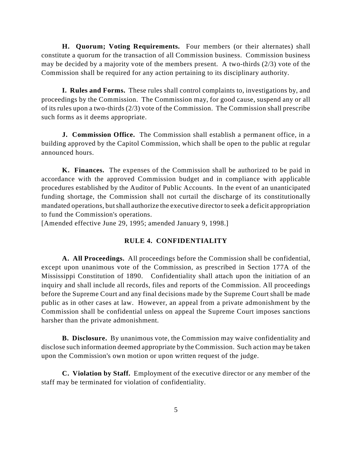constitute a quorum for the transaction of all Commission business. Commission business **H. Quorum; Voting Requirements.** Four members (or their alternates) shall may be decided by a majority vote of the members present. A two-thirds (2/3) vote of the Commission shall be required for any action pertaining to its disciplinary authority.

 **I. Rules and Forms.** These rules shall control complaints to, investigations by, and proceedings by the Commission. The Commission may, for good cause, suspend any or all of its rules upon a two-thirds (2/3) vote of the Commission. The Commission shall prescribe such forms as it deems appropriate.

**J. Commission Office.** The Commission shall establish a permanent office, in a building approved by the Capitol Commission, which shall be open to the public at regular announced hours.

 procedures established by the Auditor of Public Accounts. In the event of an unanticipated mandated operations, but shall authorize the executive director to seek a deficit appropriation **K. Finances.** The expenses of the Commission shall be authorized to be paid in accordance with the approved Commission budget and in compliance with applicable funding shortage, the Commission shall not curtail the discharge of its constitutionally to fund the Commission's operations.

[Amended effective June 29, 1995; amended January 9, 1998.]

### <span id="page-4-0"></span>**RULE 4. CONFIDENTIALITY**

 **A. All Proceedings.** All proceedings before the Commission shall be confidential, except upon unanimous vote of the Commission, as prescribed in Section 177A of the Mississippi Constitution of 1890. Confidentiality shall attach upon the initiation of an inquiry and shall include all records, files and reports of the Commission. All proceedings before the Supreme Court and any final decisions made by the Supreme Court shall be made public as in other cases at law. However, an appeal from a private admonishment by the Commission shall be confidential unless on appeal the Supreme Court imposes sanctions harsher than the private admonishment.

 **B. Disclosure.** By unanimous vote, the Commission may waive confidentiality and disclose such information deemed appropriate by the Commission. Such action may be taken upon the Commission's own motion or upon written request of the judge.

 **C. Violation by Staff.** Employment of the executive director or any member of the staff may be terminated for violation of confidentiality.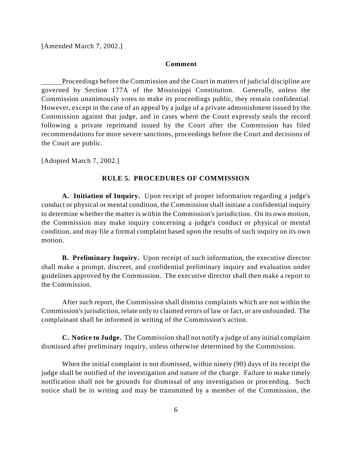[Amended March 7, 2002.]

#### **Comment**

 Proceedings before the Commission and the Court in matters of judicial discipline are However, except in the case of an appeal by a judge of a private admonishment issued by the governed by Section 177A of the Mississippi Constitution. Generally, unless the Commission unanimously votes to make its proceedings public, they remain confidential. Commission against that judge, and in cases where the Court expressly seals the record following a private reprimand issued by the Court after the Commission has filed recommendations for more severe sanctions, proceedings before the Court and decisions of the Court are public.

[Adopted March 7, 2002.]

### <span id="page-5-0"></span>**RULE 5. PROCEDURES OF COMMISSION**

 to determine whether the matter is within the Commission's jurisdiction. On its own motion, condition, and may file a formal complaint based upon the results of such inquiry on its own **A. Initiation of Inquiry.** Upon receipt of proper information regarding a judge's conduct or physical or mental condition, the Commission shall initiate a confidential inquiry the Commission may make inquiry concerning a judge's conduct or physical or mental motion.

 **B. Preliminary Inquiry.** Upon receipt of such information, the executive director guidelines approved by the Commission. The executive director shall then make a report to shall make a prompt, discreet, and confidential preliminary inquiry and evaluation under the Commission.

 After such report, the Commission shall dismiss complaints which are not within the Commission's jurisdiction, relate only to claimed errors of law or fact, or are unfounded. The complainant shall be informed in writing of the Commission's action.

 **C. Notice to Judge.** The Commission shall not notify a judge of any initial complaint dismissed after preliminary inquiry, unless otherwise determined by the Commission.

 When the initial complaint is not dismissed, within ninety (90) days of its receipt the judge shall be notified of the investigation and nature of the charge. Failure to make timely notification shall not be grounds for dismissal of any investigation or proceeding. Such notice shall be in writing and may be transmitted by a member of the Commission, the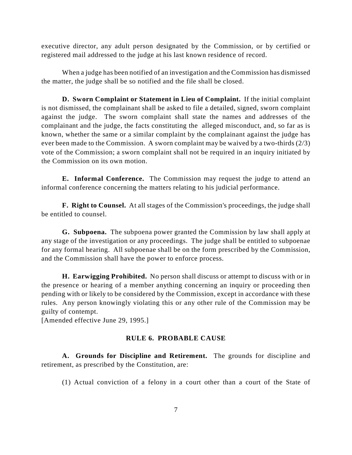executive director, any adult person designated by the Commission, or by certified or registered mail addressed to the judge at his last known residence of record.

When a judge has been notified of an investigation and the Commission has dismissed the matter, the judge shall be so notified and the file shall be closed.

 **D. Sworn Complaint or Statement in Lieu of Complaint.** If the initial complaint is not dismissed, the complainant shall be asked to file a detailed, signed, sworn complaint ever been made to the Commission. A sworn complaint may be waived by a two-thirds (2/3) against the judge. The sworn complaint shall state the names and addresses of the complainant and the judge, the facts constituting the alleged misconduct, and, so far as is known, whether the same or a similar complaint by the complainant against the judge has vote of the Commission; a sworn complaint shall not be required in an inquiry initiated by the Commission on its own motion.

 **E. Informal Conference.** The Commission may request the judge to attend an informal conference concerning the matters relating to his judicial performance.

 **F. Right to Counsel.** At all stages of the Commission's proceedings, the judge shall be entitled to counsel.

**G. Subpoena.** The subpoena power granted the Commission by law shall apply at any stage of the investigation or any proceedings. The judge shall be entitled to subpoenae for any formal hearing. All subpoenae shall be on the form prescribed by the Commission, and the Commission shall have the power to enforce process.

 **H. Earwigging Prohibited.** No person shall discuss or attempt to discuss with or in the presence or hearing of a member anything concerning an inquiry or proceeding then pending with or likely to be considered by the Commission, except in accordance with these rules. Any person knowingly violating this or any other rule of the Commission may be guilty of contempt.

[Amended effective June 29, 1995.]

#### <span id="page-6-0"></span>**RULE 6. PROBABLE CAUSE**

**A. Grounds for Discipline and Retirement.** The grounds for discipline and retirement, as prescribed by the Constitution, are:

(1) Actual conviction of a felony in a court other than a court of the State of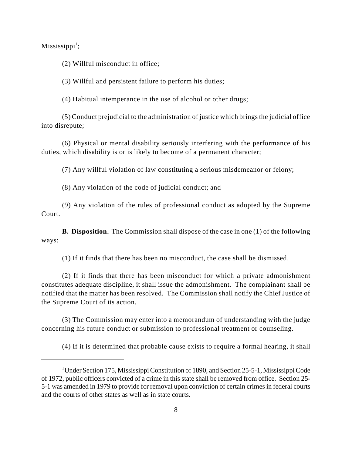$Missisis pipi<sup>1</sup>;$ 

(2) Willful misconduct in office;

(3) Willful and persistent failure to perform his duties;

(4) Habitual intemperance in the use of alcohol or other drugs;

(5) Conduct prejudicial to the administration of justice which brings the judicial office into disrepute;

(6) Physical or mental disability seriously interfering with the performance of his duties, which disability is or is likely to become of a permanent character;

(7) Any willful violation of law constituting a serious misdemeanor or felony;

(8) Any violation of the code of judicial conduct; and

(9) Any violation of the rules of professional conduct as adopted by the Supreme Court.

**B. Disposition.** The Commission shall dispose of the case in one (1) of the following ways:

(1) If it finds that there has been no misconduct, the case shall be dismissed.

 constitutes adequate discipline, it shall issue the admonishment. The complainant shall be notified that the matter has been resolved. The Commission shall notify the Chief Justice of (2) If it finds that there has been misconduct for which a private admonishment the Supreme Court of its action.

(3) The Commission may enter into a memorandum of understanding with the judge concerning his future conduct or submission to professional treatment or counseling.

(4) If it is determined that probable cause exists to require a formal hearing, it shall

 5-1 was amended in 1979 to provide for removal upon conviction of certain crimes in federal courts <sup>1</sup>Under Section 175, Mississippi Constitution of 1890, and Section 25-5-1, Mississippi Code of 1972, public officers convicted of a crime in this state shall be removed from office. Section 25 and the courts of other states as well as in state courts.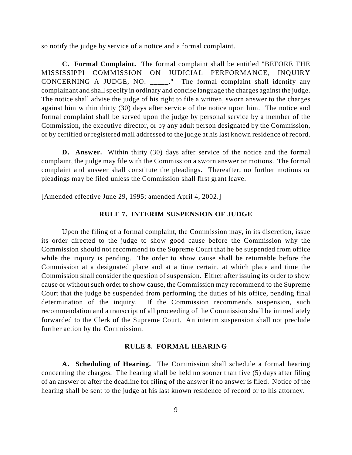so notify the judge by service of a notice and a formal complaint.

 complainant and shall specify in ordinary and concise language the charges against the judge. against him within thirty (30) days after service of the notice upon him. The notice and **C. Formal Complaint.** The formal complaint shall be entitled "BEFORE THE MISSISSIPPI COMMISSION ON JUDICIAL PERFORMANCE, INQUIRY CONCERNING A JUDGE, NO. \_\_\_\_\_." The formal complaint shall identify any The notice shall advise the judge of his right to file a written, sworn answer to the charges formal complaint shall be served upon the judge by personal service by a member of the Commission, the executive director, or by any adult person designated by the Commission, or by certified or registered mail addressed to the judge at his last known residence of record.

**D. Answer.** Within thirty (30) days after service of the notice and the formal complaint, the judge may file with the Commission a sworn answer or motions. The formal complaint and answer shall constitute the pleadings. Thereafter, no further motions or pleadings may be filed unless the Commission shall first grant leave.

[Amended effective June 29, 1995; amended April 4, 2002.]

#### <span id="page-8-0"></span>**RULE 7. INTERIM SUSPENSION OF JUDGE**

 Commission should not recommend to the Supreme Court that he be suspended from office while the inquiry is pending. The order to show cause shall be returnable before the Commission shall consider the question of suspension. Either after issuing its order to show cause or without such order to show cause, the Commission may recommend to the Supreme Court that the judge be suspended from performing the duties of his office, pending final Upon the filing of a formal complaint, the Commission may, in its discretion, issue its order directed to the judge to show good cause before the Commission why the Commission at a designated place and at a time certain, at which place and time the determination of the inquiry. If the Commission recommends suspension, such recommendation and a transcript of all proceeding of the Commission shall be immediately forwarded to the Clerk of the Supreme Court. An interim suspension shall not preclude further action by the Commission.

#### <span id="page-8-1"></span>**RULE 8. FORMAL HEARING**

 concerning the charges. The hearing shall be held no sooner than five (5) days after filing of an answer or after the deadline for filing of the answer if no answer is filed. Notice of the **A. Scheduling of Hearing.** The Commission shall schedule a formal hearing hearing shall be sent to the judge at his last known residence of record or to his attorney.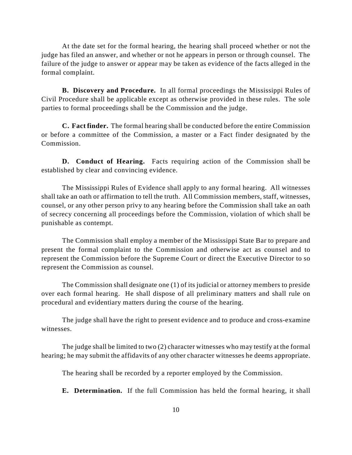judge has filed an answer, and whether or not he appears in person or through counsel. The failure of the judge to answer or appear may be taken as evidence of the facts alleged in the At the date set for the formal hearing, the hearing shall proceed whether or not the formal complaint.

**B. Discovery and Procedure.** In all formal proceedings the Mississippi Rules of Civil Procedure shall be applicable except as otherwise provided in these rules. The sole parties to formal proceedings shall be the Commission and the judge.

**C. Fact finder.** The formal hearing shall be conducted before the entire Commission or before a committee of the Commission, a master or a Fact finder designated by the Commission.

 **D. Conduct of Hearing.** Facts requiring action of the Commission shall be established by clear and convincing evidence.

 The Mississippi Rules of Evidence shall apply to any formal hearing. All witnesses counsel, or any other person privy to any hearing before the Commission shall take an oath shall take an oath or affirmation to tell the truth. All Commission members, staff, witnesses, of secrecy concerning all proceedings before the Commission, violation of which shall be punishable as contempt.

 represent the Commission before the Supreme Court or direct the Executive Director to so The Commission shall employ a member of the Mississippi State Bar to prepare and present the formal complaint to the Commission and otherwise act as counsel and to represent the Commission as counsel.

The Commission shall designate one (1) of its judicial or attorney members to preside over each formal hearing. He shall dispose of all preliminary matters and shall rule on procedural and evidentiary matters during the course of the hearing.

The judge shall have the right to present evidence and to produce and cross-examine witnesses.

 The judge shall be limited to two (2) character witnesses who may testify at the formal hearing; he may submit the affidavits of any other character witnesses he deems appropriate.

The hearing shall be recorded by a reporter employed by the Commission.

**E. Determination.** If the full Commission has held the formal hearing, it shall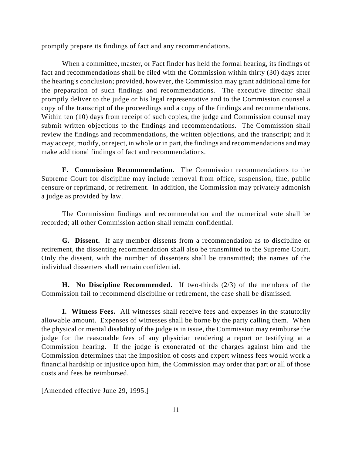promptly prepare its findings of fact and any recommendations.

 When a committee, master, or Fact finder has held the formal hearing, its findings of the hearing's conclusion; provided, however, the Commission may grant additional time for review the findings and recommendations, the written objections, and the transcript; and it may accept, modify, or reject, in whole or in part, the findings and recommendations and may fact and recommendations shall be filed with the Commission within thirty (30) days after the preparation of such findings and recommendations. The executive director shall promptly deliver to the judge or his legal representative and to the Commission counsel a copy of the transcript of the proceedings and a copy of the findings and recommendations. Within ten (10) days from receipt of such copies, the judge and Commission counsel may submit written objections to the findings and recommendations. The Commission shall make additional findings of fact and recommendations.

 censure or reprimand, or retirement. In addition, the Commission may privately admonish **F. Commission Recommendation.** The Commission recommendations to the Supreme Court for discipline may include removal from office, suspension, fine, public a judge as provided by law.

The Commission findings and recommendation and the numerical vote shall be recorded; all other Commission action shall remain confidential.

 Only the dissent, with the number of dissenters shall be transmitted; the names of the **G. Dissent.** If any member dissents from a recommendation as to discipline or retirement, the dissenting recommendation shall also be transmitted to the Supreme Court. individual dissenters shall remain confidential.

**H. No Discipline Recommended.** If two-thirds (2/3) of the members of the Commission fail to recommend discipline or retirement, the case shall be dismissed.

 allowable amount. Expenses of witnesses shall be borne by the party calling them. When judge for the reasonable fees of any physician rendering a report or testifying at a Commission determines that the imposition of costs and expert witness fees would work a financial hardship or injustice upon him, the Commission may order that part or all of those **I. Witness Fees.** All witnesses shall receive fees and expenses in the statutorily the physical or mental disability of the judge is in issue, the Commission may reimburse the Commission hearing. If the judge is exonerated of the charges against him and the costs and fees be reimbursed.

[Amended effective June 29, 1995.]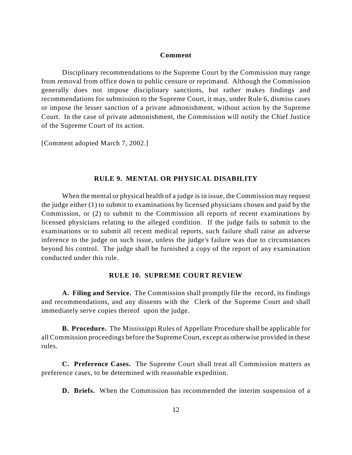#### **Comment**

 from removal from office down to public censure or reprimand. Although the Commission Disciplinary recommendations to the Supreme Court by the Commission may range generally does not impose disciplinary sanctions, but rather makes findings and recommendations for submission to the Supreme Court, it may, under Rule 6, dismiss cases or impose the lesser sanction of a private admonishment, without action by the Supreme Court. In the case of private admonishment, the Commission will notify the Chief Justice of the Supreme Court of its action.

[Comment adopted March 7, 2002.]

#### <span id="page-11-0"></span>**RULE 9. MENTAL OR PHYSICAL DISABILITY**

 inference to the judge on such issue, unless the judge's failure was due to circumstances When the mental or physical health of a judge is in issue, the Commission may request the judge either (1) to submit to examinations by licensed physicians chosen and paid by the Commission, or (2) to submit to the Commission all reports of recent examinations by licensed physicians relating to the alleged condition. If the judge fails to submit to the examinations or to submit all recent medical reports, such failure shall raise an adverse beyond his control. The judge shall be furnished a copy of the report of any examination conducted under this rule.

### <span id="page-11-1"></span>**RULE 10. SUPREME COURT REVIEW**

 and recommendations, and any dissents with the Clerk of the Supreme Court and shall **A. Filing and Service.** The Commission shall promptly file the record, its findings immediately serve copies thereof upon the judge.

**B. Procedure.** The Mississippi Rules of Appellate Procedure shall be applicable for all Commission proceedings before the Supreme Court, except as otherwise provided in these rules.

**C. Preference Cases.** The Supreme Court shall treat all Commission matters as preference cases, to be determined with reasonable expedition.

**D. Briefs.** When the Commission has recommended the interim suspension of a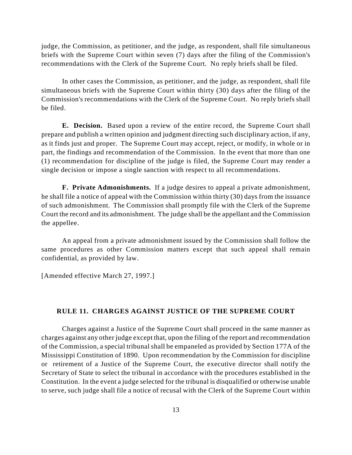judge, the Commission, as petitioner, and the judge, as respondent, shall file simultaneous briefs with the Supreme Court within seven (7) days after the filing of the Commission's recommendations with the Clerk of the Supreme Court. No reply briefs shall be filed.

 Commission's recommendations with the Clerk of the Supreme Court. No reply briefs shall In other cases the Commission, as petitioner, and the judge, as respondent, shall file simultaneous briefs with the Supreme Court within thirty (30) days after the filing of the be filed.

 prepare and publish a written opinion and judgment directing such disciplinary action, if any, **E. Decision.** Based upon a review of the entire record, the Supreme Court shall as it finds just and proper. The Supreme Court may accept, reject, or modify, in whole or in part, the findings and recommendation of the Commission. In the event that more than one (1) recommendation for discipline of the judge is filed, the Supreme Court may render a single decision or impose a single sanction with respect to all recommendations.

 **F. Private Admonishments.** If a judge desires to appeal a private admonishment, of such admonishment. The Commission shall promptly file with the Clerk of the Supreme he shall file a notice of appeal with the Commission within thirty (30) days from the issuance Court the record and its admonishment. The judge shall be the appellant and the Commission the appellee.

An appeal from a private admonishment issued by the Commission shall follow the same procedures as other Commission matters except that such appeal shall remain confidential, as provided by law.

[Amended effective March 27, 1997.]

#### <span id="page-12-0"></span>**RULE 11. CHARGES AGAINST JUSTICE OF THE SUPREME COURT**

 charges against any other judge except that, upon the filing of the report and recommendation Mississippi Constitution of 1890. Upon recommendation by the Commission for discipline Secretary of State to select the tribunal in accordance with the procedures established in the Charges against a Justice of the Supreme Court shall proceed in the same manner as of the Commission, a special tribunal shall be empaneled as provided by Section 177A of the or retirement of a Justice of the Supreme Court, the executive director shall notify the Constitution. In the event a judge selected for the tribunal is disqualified or otherwise unable to serve, such judge shall file a notice of recusal with the Clerk of the Supreme Court within